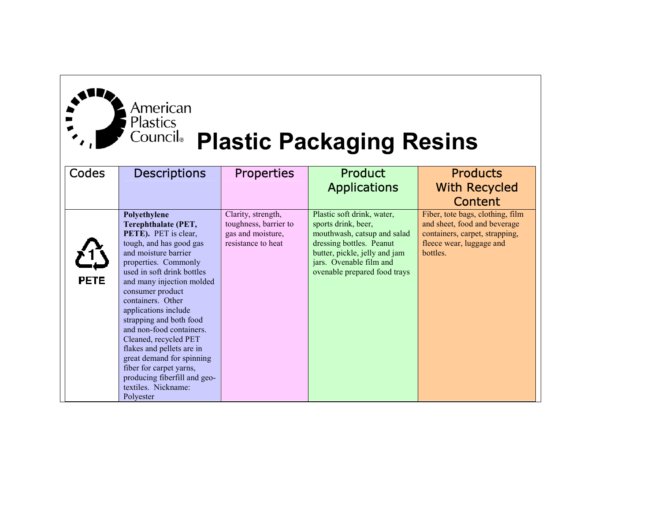| American<br><b>Plastics</b><br>Council |
|----------------------------------------|

## **Plastic Packaging Resins**

| Codes       | <b>Descriptions</b>                   | <b>Properties</b>     | <b>Product</b>                | <b>Products</b>                  |
|-------------|---------------------------------------|-----------------------|-------------------------------|----------------------------------|
|             |                                       |                       | <b>Applications</b>           | <b>With Recycled</b>             |
|             |                                       |                       |                               | Content                          |
|             | Polyethylene                          | Clarity, strength,    | Plastic soft drink, water,    | Fiber, tote bags, clothing, film |
|             | Terephthalate (PET,                   | toughness, barrier to | sports drink, beer,           | and sheet, food and beverage     |
|             | PETE). PET is clear,                  | gas and moisture,     | mouthwash, catsup and salad   | containers, carpet, strapping,   |
|             | tough, and has good gas               | resistance to heat    | dressing bottles. Peanut      | fleece wear, luggage and         |
|             | and moisture barrier                  |                       | butter, pickle, jelly and jam | bottles.                         |
|             | properties. Commonly                  |                       | jars. Ovenable film and       |                                  |
| <b>PETE</b> | used in soft drink bottles            |                       | ovenable prepared food trays  |                                  |
|             | and many injection molded             |                       |                               |                                  |
|             | consumer product<br>containers. Other |                       |                               |                                  |
|             | applications include                  |                       |                               |                                  |
|             | strapping and both food               |                       |                               |                                  |
|             | and non-food containers.              |                       |                               |                                  |
|             | Cleaned, recycled PET                 |                       |                               |                                  |
|             | flakes and pellets are in             |                       |                               |                                  |
|             | great demand for spinning             |                       |                               |                                  |
|             | fiber for carpet yarns,               |                       |                               |                                  |
|             | producing fiberfill and geo-          |                       |                               |                                  |
|             | textiles. Nickname:                   |                       |                               |                                  |
|             | Polyester                             |                       |                               |                                  |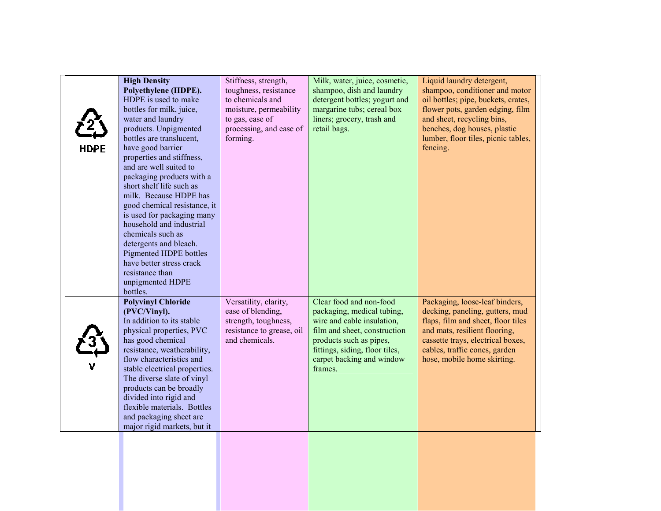| <b>HDPE</b> | <b>High Density</b><br>Polyethylene (HDPE).<br>HDPE is used to make<br>bottles for milk, juice,<br>water and laundry<br>products. Unpigmented<br>bottles are translucent,<br>have good barrier<br>properties and stiffness,<br>and are well suited to<br>packaging products with a<br>short shelf life such as<br>milk. Because HDPE has<br>good chemical resistance, it<br>is used for packaging many<br>household and industrial<br>chemicals such as<br>detergents and bleach.<br>Pigmented HDPE bottles<br>have better stress crack<br>resistance than | Stiffness, strength,<br>toughness, resistance<br>to chemicals and<br>moisture, permeability<br>to gas, ease of<br>processing, and ease of<br>forming. | Milk, water, juice, cosmetic,<br>shampoo, dish and laundry<br>detergent bottles; yogurt and<br>margarine tubs; cereal box<br>liners; grocery, trash and<br>retail bags.                                                  | Liquid laundry detergent,<br>shampoo, conditioner and motor<br>oil bottles; pipe, buckets, crates,<br>flower pots, garden edging, film<br>and sheet, recycling bins,<br>benches, dog houses, plastic<br>lumber, floor tiles, picnic tables,<br>fencing. |
|-------------|------------------------------------------------------------------------------------------------------------------------------------------------------------------------------------------------------------------------------------------------------------------------------------------------------------------------------------------------------------------------------------------------------------------------------------------------------------------------------------------------------------------------------------------------------------|-------------------------------------------------------------------------------------------------------------------------------------------------------|--------------------------------------------------------------------------------------------------------------------------------------------------------------------------------------------------------------------------|---------------------------------------------------------------------------------------------------------------------------------------------------------------------------------------------------------------------------------------------------------|
|             | unpigmented HDPE<br>bottles.<br><b>Polyvinyl Chloride</b><br>(PVC/Vinyl).<br>In addition to its stable<br>physical properties, PVC<br>has good chemical<br>resistance, weatherability,<br>flow characteristics and<br>stable electrical properties.<br>The diverse slate of vinyl<br>products can be broadly<br>divided into rigid and<br>flexible materials. Bottles<br>and packaging sheet are<br>major rigid markets, but it                                                                                                                            | Versatility, clarity,<br>ease of blending,<br>strength, toughness,<br>resistance to grease, oil<br>and chemicals.                                     | Clear food and non-food<br>packaging, medical tubing,<br>wire and cable insulation,<br>film and sheet, construction<br>products such as pipes,<br>fittings, siding, floor tiles,<br>carpet backing and window<br>frames. | Packaging, loose-leaf binders,<br>decking, paneling, gutters, mud<br>flaps, film and sheet, floor tiles<br>and mats, resilient flooring,<br>cassette trays, electrical boxes,<br>cables, traffic cones, garden<br>hose, mobile home skirting.           |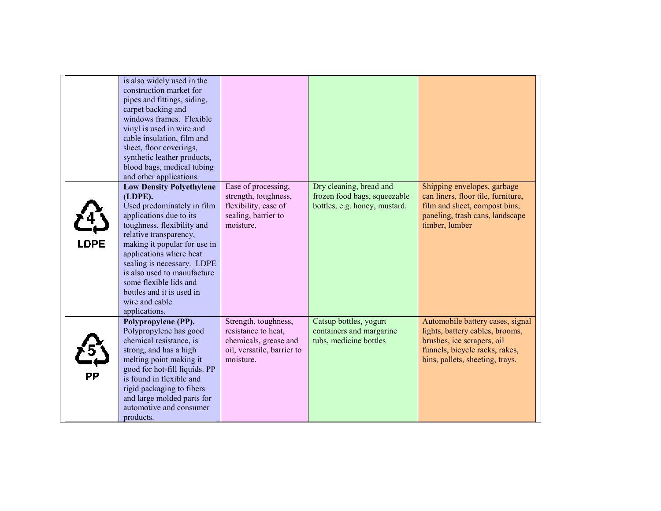|             | is also widely used in the<br>construction market for<br>pipes and fittings, siding,<br>carpet backing and<br>windows frames. Flexible<br>vinyl is used in wire and<br>cable insulation, film and<br>sheet, floor coverings,<br>synthetic leather products,<br>blood bags, medical tubing<br>and other applications.                                                          |                                                                                                                 |                                                                                          |                                                                                                                                                                        |
|-------------|-------------------------------------------------------------------------------------------------------------------------------------------------------------------------------------------------------------------------------------------------------------------------------------------------------------------------------------------------------------------------------|-----------------------------------------------------------------------------------------------------------------|------------------------------------------------------------------------------------------|------------------------------------------------------------------------------------------------------------------------------------------------------------------------|
| <b>LDPE</b> | <b>Low Density Polyethylene</b><br>(LDPE).<br>Used predominately in film<br>applications due to its<br>toughness, flexibility and<br>relative transparency,<br>making it popular for use in<br>applications where heat<br>sealing is necessary. LDPE<br>is also used to manufacture<br>some flexible lids and<br>bottles and it is used in<br>wire and cable<br>applications. | Ease of processing,<br>strength, toughness,<br>flexibility, ease of<br>sealing, barrier to<br>moisture.         | Dry cleaning, bread and<br>frozen food bags, squeezable<br>bottles, e.g. honey, mustard. | Shipping envelopes, garbage<br>can liners, floor tile, furniture,<br>film and sheet, compost bins,<br>paneling, trash cans, landscape<br>timber, lumber                |
| РP          | Polypropylene (PP).<br>Polypropylene has good<br>chemical resistance, is<br>strong, and has a high<br>melting point making it<br>good for hot-fill liquids. PP<br>is found in flexible and<br>rigid packaging to fibers<br>and large molded parts for<br>automotive and consumer<br>products.                                                                                 | Strength, toughness,<br>resistance to heat,<br>chemicals, grease and<br>oil, versatile, barrier to<br>moisture. | Catsup bottles, yogurt<br>containers and margarine<br>tubs, medicine bottles             | Automobile battery cases, signal<br>lights, battery cables, brooms,<br>brushes, ice scrapers, oil<br>funnels, bicycle racks, rakes,<br>bins, pallets, sheeting, trays. |